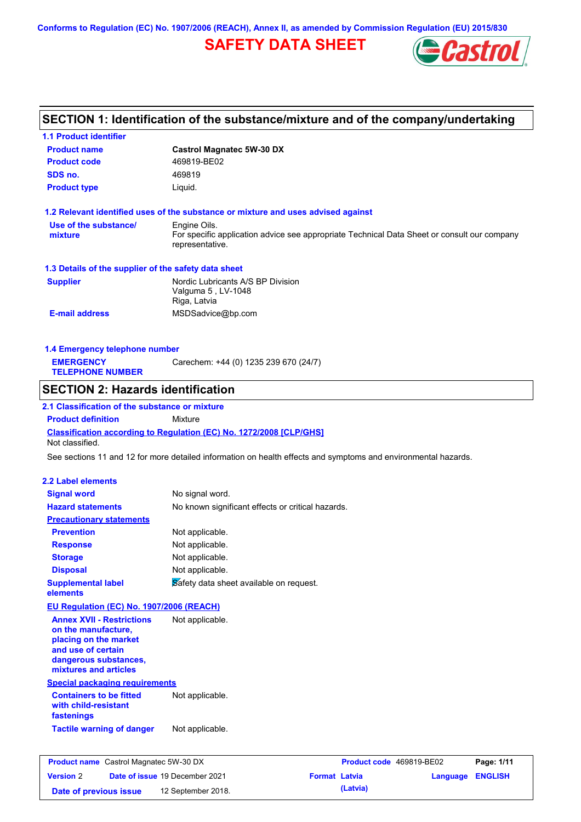## **SAFETY DATA SHEET**



## **SECTION 1: Identification of the substance/mixture and of the company/undertaking**

| <b>1.1 Product identifier</b>                                  |                                                                                   |                                                                                                                |                  |
|----------------------------------------------------------------|-----------------------------------------------------------------------------------|----------------------------------------------------------------------------------------------------------------|------------------|
| <b>Product name</b>                                            | <b>Castrol Magnatec 5W-30 DX</b>                                                  |                                                                                                                |                  |
| <b>Product code</b>                                            | 469819-BE02                                                                       |                                                                                                                |                  |
| SDS no.                                                        | 469819                                                                            |                                                                                                                |                  |
| <b>Product type</b>                                            | Liquid.                                                                           |                                                                                                                |                  |
|                                                                | 1.2 Relevant identified uses of the substance or mixture and uses advised against |                                                                                                                |                  |
| Use of the substance/                                          | Engine Oils.                                                                      |                                                                                                                |                  |
| mixture                                                        | representative.                                                                   | For specific application advice see appropriate Technical Data Sheet or consult our company                    |                  |
| 1.3 Details of the supplier of the safety data sheet           |                                                                                   |                                                                                                                |                  |
| <b>Supplier</b>                                                | Nordic Lubricants A/S BP Division                                                 |                                                                                                                |                  |
|                                                                | Valguma 5, LV-1048                                                                |                                                                                                                |                  |
|                                                                | Riga, Latvia                                                                      |                                                                                                                |                  |
| <b>E-mail address</b>                                          | MSDSadvice@bp.com                                                                 |                                                                                                                |                  |
| 1.4 Emergency telephone number                                 |                                                                                   |                                                                                                                |                  |
| <b>EMERGENCY</b>                                               | Carechem: +44 (0) 1235 239 670 (24/7)                                             |                                                                                                                |                  |
| <b>TELEPHONE NUMBER</b>                                        |                                                                                   |                                                                                                                |                  |
| <b>SECTION 2: Hazards identification</b>                       |                                                                                   |                                                                                                                |                  |
| 2.1 Classification of the substance or mixture                 |                                                                                   |                                                                                                                |                  |
| <b>Product definition</b>                                      | Mixture                                                                           |                                                                                                                |                  |
| Not classified.                                                | <b>Classification according to Regulation (EC) No. 1272/2008 [CLP/GHS]</b>        |                                                                                                                |                  |
|                                                                |                                                                                   | See sections 11 and 12 for more detailed information on health effects and symptoms and environmental hazards. |                  |
| <b>2.2 Label elements</b>                                      |                                                                                   |                                                                                                                |                  |
| <b>Signal word</b>                                             | No signal word.                                                                   |                                                                                                                |                  |
| <b>Hazard statements</b>                                       | No known significant effects or critical hazards.                                 |                                                                                                                |                  |
| <b>Precautionary statements</b>                                |                                                                                   |                                                                                                                |                  |
| <b>Prevention</b>                                              | Not applicable.                                                                   |                                                                                                                |                  |
| <b>Response</b>                                                | Not applicable.                                                                   |                                                                                                                |                  |
| <b>Storage</b>                                                 | Not applicable.                                                                   |                                                                                                                |                  |
| <b>Disposal</b>                                                | Not applicable.                                                                   |                                                                                                                |                  |
| <b>Supplemental label</b>                                      | Safety data sheet available on request.                                           |                                                                                                                |                  |
| elements                                                       |                                                                                   |                                                                                                                |                  |
| EU Regulation (EC) No. 1907/2006 (REACH)                       |                                                                                   |                                                                                                                |                  |
| <b>Annex XVII - Restrictions</b>                               | Not applicable.                                                                   |                                                                                                                |                  |
| on the manufacture,                                            |                                                                                   |                                                                                                                |                  |
| placing on the market                                          |                                                                                   |                                                                                                                |                  |
| and use of certain                                             |                                                                                   |                                                                                                                |                  |
| dangerous substances,                                          |                                                                                   |                                                                                                                |                  |
| mixtures and articles<br><b>Special packaging requirements</b> |                                                                                   |                                                                                                                |                  |
| <b>Containers to be fitted</b>                                 | Not applicable.                                                                   |                                                                                                                |                  |
| with child-resistant<br>fastenings                             |                                                                                   |                                                                                                                |                  |
| <b>Tactile warning of danger</b>                               | Not applicable.                                                                   |                                                                                                                |                  |
|                                                                |                                                                                   |                                                                                                                |                  |
| <b>Product name</b> Castrol Magnatec 5W-30 DX                  |                                                                                   | Product code 469819-BE02                                                                                       | Page: 1/11       |
| <b>Version 2</b>                                               | Date of issue 19 December 2021                                                    | <b>Format Latvia</b>                                                                                           | Language ENGLISH |

**Date of previous issue (Latvia)** 12 September 2018.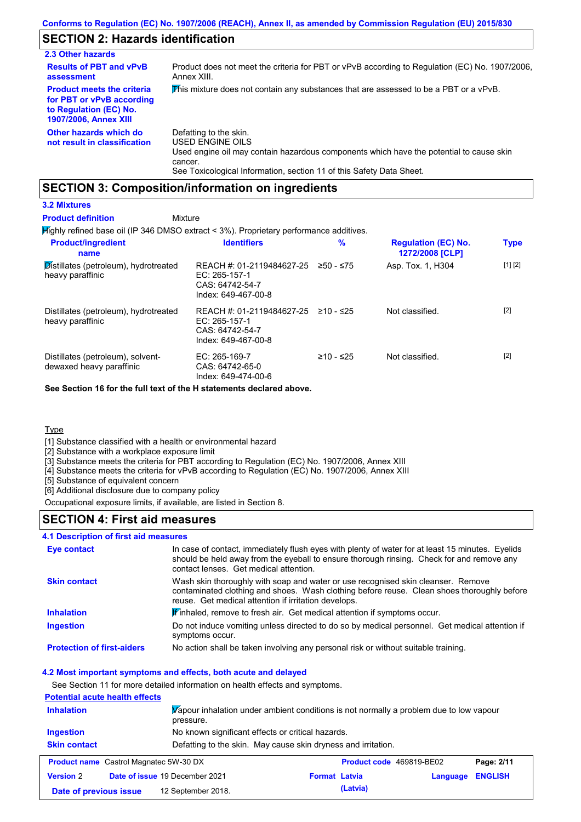## **SECTION 2: Hazards identification**

| 2.3 Other hazards                                                                                                        |                                                                                                                                                                                                                          |
|--------------------------------------------------------------------------------------------------------------------------|--------------------------------------------------------------------------------------------------------------------------------------------------------------------------------------------------------------------------|
| <b>Results of PBT and vPvB</b><br>assessment                                                                             | Product does not meet the criteria for PBT or vPvB according to Regulation (EC) No. 1907/2006,<br>Annex XIII.                                                                                                            |
| <b>Product meets the criteria</b><br>for PBT or vPvB according<br>to Regulation (EC) No.<br><b>1907/2006, Annex XIII</b> | This mixture does not contain any substances that are assessed to be a PBT or a vPvB.                                                                                                                                    |
| Other hazards which do<br>not result in classification                                                                   | Defatting to the skin.<br>USED ENGINE OILS<br>Used engine oil may contain hazardous components which have the potential to cause skin<br>cancer.<br>See Toxicological Information, section 11 of this Safety Data Sheet. |

### **SECTION 3: Composition/information on ingredients**

#### **3.2 Mixtures**

#### Mixture **Product definition**

Highly refined base oil (IP 346 DMSO extract < 3%). Proprietary performance additives.

| <b>Product/ingredient</b><br>name                                    | <b>Identifiers</b>                                                                     | $\frac{9}{6}$ | <b>Regulation (EC) No.</b><br>1272/2008 [CLP] | <b>Type</b> |
|----------------------------------------------------------------------|----------------------------------------------------------------------------------------|---------------|-----------------------------------------------|-------------|
| $\mathsf{Distillates}$ (petroleum), hydrotreated<br>heavy paraffinic | REACH #: 01-2119484627-25<br>EC: $265-157-1$<br>CAS: 64742-54-7<br>Index: 649-467-00-8 | $≥50 - ≤75$   | Asp. Tox. 1, H304                             | [1] [2]     |
| Distillates (petroleum), hydrotreated<br>heavy paraffinic            | REACH #: 01-2119484627-25<br>EC: 265-157-1<br>CAS: 64742-54-7<br>Index: 649-467-00-8   | $≥10 - ≤25$   | Not classified.                               | $[2]$       |
| Distillates (petroleum), solvent-<br>dewaxed heavy paraffinic        | EC: $265-169-7$<br>CAS: 64742-65-0<br>Index: 649-474-00-6                              | ≥10 - ≤25     | Not classified.                               | $[2]$       |

**See Section 16 for the full text of the H statements declared above.**

#### **Type**

[1] Substance classified with a health or environmental hazard

[2] Substance with a workplace exposure limit

[3] Substance meets the criteria for PBT according to Regulation (EC) No. 1907/2006, Annex XIII

[4] Substance meets the criteria for vPvB according to Regulation (EC) No. 1907/2006, Annex XIII

[5] Substance of equivalent concern

[6] Additional disclosure due to company policy

Occupational exposure limits, if available, are listed in Section 8.

### **SECTION 4: First aid measures**

#### **4.1 Description of first aid measures**

| Eye contact                       | In case of contact, immediately flush eyes with plenty of water for at least 15 minutes. Eyelids<br>should be held away from the eyeball to ensure thorough rinsing. Check for and remove any<br>contact lenses. Get medical attention. |
|-----------------------------------|-----------------------------------------------------------------------------------------------------------------------------------------------------------------------------------------------------------------------------------------|
| <b>Skin contact</b>               | Wash skin thoroughly with soap and water or use recognised skin cleanser. Remove<br>contaminated clothing and shoes. Wash clothing before reuse. Clean shoes thoroughly before<br>reuse. Get medical attention if irritation develops.  |
| <b>Inhalation</b>                 | Winhaled, remove to fresh air. Get medical attention if symptoms occur.                                                                                                                                                                 |
| <b>Ingestion</b>                  | Do not induce vomiting unless directed to do so by medical personnel. Get medical attention if<br>symptoms occur.                                                                                                                       |
| <b>Protection of first-aiders</b> | No action shall be taken involving any personal risk or without suitable training.                                                                                                                                                      |

#### **4.2 Most important symptoms and effects, both acute and delayed**

See Section 11 for more detailed information on health effects and symptoms.

#### **Potential acute health effects**

| Vapour inhalation under ambient conditions is not normally a problem due to low vapour<br><b>Inhalation</b><br>pressure. |                                                               |                      |          |                          |                |
|--------------------------------------------------------------------------------------------------------------------------|---------------------------------------------------------------|----------------------|----------|--------------------------|----------------|
| Ingestion                                                                                                                | No known significant effects or critical hazards.             |                      |          |                          |                |
| <b>Skin contact</b>                                                                                                      | Defatting to the skin. May cause skin dryness and irritation. |                      |          |                          |                |
|                                                                                                                          | <b>Product name</b> Castrol Magnatec 5W-30 DX                 |                      |          | Product code 469819-BE02 | Page: 2/11     |
| <b>Version 2</b>                                                                                                         | Date of issue 19 December 2021                                | <b>Format Latvia</b> |          | Language                 | <b>ENGLISH</b> |
| Date of previous issue                                                                                                   | 12 September 2018.                                            |                      | (Latvia) |                          |                |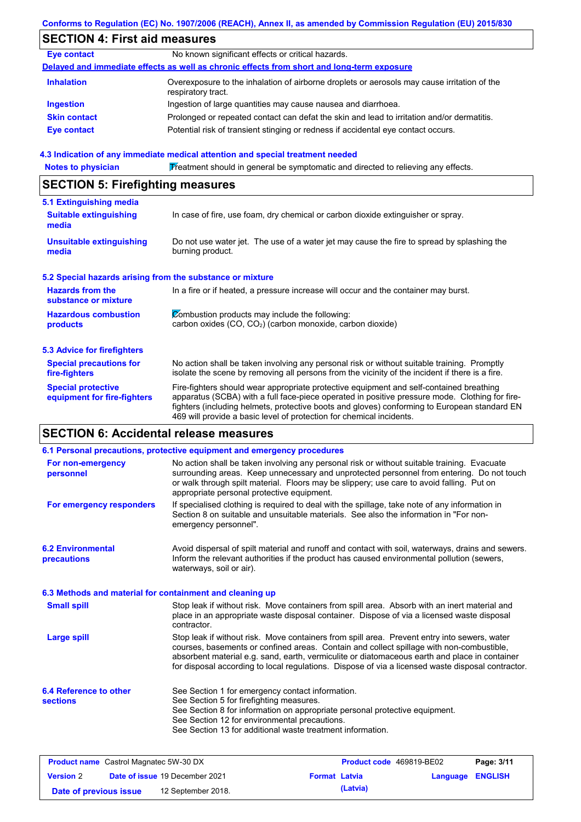## **SECTION 4: First aid measures**

| <b>Eye contact</b>  | No known significant effects or critical hazards.                                                                 |
|---------------------|-------------------------------------------------------------------------------------------------------------------|
|                     | Delayed and immediate effects as well as chronic effects from short and long-term exposure                        |
| <b>Inhalation</b>   | Overexposure to the inhalation of airborne droplets or aerosols may cause irritation of the<br>respiratory tract. |
| <b>Ingestion</b>    | Ingestion of large quantities may cause nausea and diarrhoea.                                                     |
| <b>Skin contact</b> | Prolonged or repeated contact can defat the skin and lead to irritation and/or dermatitis.                        |
| Eye contact         | Potential risk of transient stinging or redness if accidental eye contact occurs.                                 |

#### **4.3 Indication of any immediate medical attention and special treatment needed**

Notes to physician **Treatment should in general be symptomatic and directed to relieving any effects.** 

### **SECTION 5: Firefighting measures**

| 5.1 Extinguishing media                                   |                                                                                                                                                                                                                                                                                                                                                                   |
|-----------------------------------------------------------|-------------------------------------------------------------------------------------------------------------------------------------------------------------------------------------------------------------------------------------------------------------------------------------------------------------------------------------------------------------------|
| <b>Suitable extinguishing</b><br>media                    | In case of fire, use foam, dry chemical or carbon dioxide extinguisher or spray.                                                                                                                                                                                                                                                                                  |
| Unsuitable extinguishing<br>media                         | Do not use water jet. The use of a water jet may cause the fire to spread by splashing the<br>burning product.                                                                                                                                                                                                                                                    |
| 5.2 Special hazards arising from the substance or mixture |                                                                                                                                                                                                                                                                                                                                                                   |
| <b>Hazards from the</b><br>substance or mixture           | In a fire or if heated, a pressure increase will occur and the container may burst.                                                                                                                                                                                                                                                                               |
| <b>Hazardous combustion</b>                               | Combustion products may include the following:                                                                                                                                                                                                                                                                                                                    |
| products                                                  | carbon oxides (CO, CO <sub>2</sub> ) (carbon monoxide, carbon dioxide)                                                                                                                                                                                                                                                                                            |
| 5.3 Advice for firefighters                               |                                                                                                                                                                                                                                                                                                                                                                   |
| <b>Special precautions for</b><br>fire-fighters           | No action shall be taken involving any personal risk or without suitable training. Promptly<br>isolate the scene by removing all persons from the vicinity of the incident if there is a fire.                                                                                                                                                                    |
| <b>Special protective</b><br>equipment for fire-fighters  | Fire-fighters should wear appropriate protective equipment and self-contained breathing<br>apparatus (SCBA) with a full face-piece operated in positive pressure mode. Clothing for fire-<br>fighters (including helmets, protective boots and gloves) conforming to European standard EN<br>469 will provide a basic level of protection for chemical incidents. |

### **SECTION 6: Accidental release measures**

|                                                          | 6.1 Personal precautions, protective equipment and emergency procedures                                                                                                                                                                                                                                                                                                                        |
|----------------------------------------------------------|------------------------------------------------------------------------------------------------------------------------------------------------------------------------------------------------------------------------------------------------------------------------------------------------------------------------------------------------------------------------------------------------|
| For non-emergency<br>personnel                           | No action shall be taken involving any personal risk or without suitable training. Evacuate<br>surrounding areas. Keep unnecessary and unprotected personnel from entering. Do not touch<br>or walk through spilt material. Floors may be slippery; use care to avoid falling. Put on<br>appropriate personal protective equipment.                                                            |
| For emergency responders                                 | If specialised clothing is required to deal with the spillage, take note of any information in<br>Section 8 on suitable and unsuitable materials. See also the information in "For non-<br>emergency personnel".                                                                                                                                                                               |
| <b>6.2 Environmental</b><br>precautions                  | Avoid dispersal of spilt material and runoff and contact with soil, waterways, drains and sewers.<br>Inform the relevant authorities if the product has caused environmental pollution (sewers,<br>waterways, soil or air).                                                                                                                                                                    |
| 6.3 Methods and material for containment and cleaning up |                                                                                                                                                                                                                                                                                                                                                                                                |
| <b>Small spill</b>                                       | Stop leak if without risk. Move containers from spill area. Absorb with an inert material and<br>place in an appropriate waste disposal container. Dispose of via a licensed waste disposal<br>contractor.                                                                                                                                                                                     |
| <b>Large spill</b>                                       | Stop leak if without risk. Move containers from spill area. Prevent entry into sewers, water<br>courses, basements or confined areas. Contain and collect spillage with non-combustible,<br>absorbent material e.g. sand, earth, vermiculite or diatomaceous earth and place in container<br>for disposal according to local regulations. Dispose of via a licensed waste disposal contractor. |
| 6.4 Reference to other<br><b>sections</b>                | See Section 1 for emergency contact information.<br>See Section 5 for firefighting measures.                                                                                                                                                                                                                                                                                                   |
|                                                          | See Section 8 for information on appropriate personal protective equipment.                                                                                                                                                                                                                                                                                                                    |
|                                                          | See Section 12 for environmental precautions.                                                                                                                                                                                                                                                                                                                                                  |
|                                                          | See Section 13 for additional waste treatment information.                                                                                                                                                                                                                                                                                                                                     |
|                                                          |                                                                                                                                                                                                                                                                                                                                                                                                |

| <b>Product name</b> Castrol Magnatec 5W-30 DX |  | <b>Product code</b> 469819-BE02       |                      | Page: 3/11 |                         |  |
|-----------------------------------------------|--|---------------------------------------|----------------------|------------|-------------------------|--|
| <b>Version 2</b>                              |  | <b>Date of issue 19 December 2021</b> | <b>Format Latvia</b> |            | <b>Language ENGLISH</b> |  |
| Date of previous issue                        |  | 12 September 2018.                    |                      | (Latvia)   |                         |  |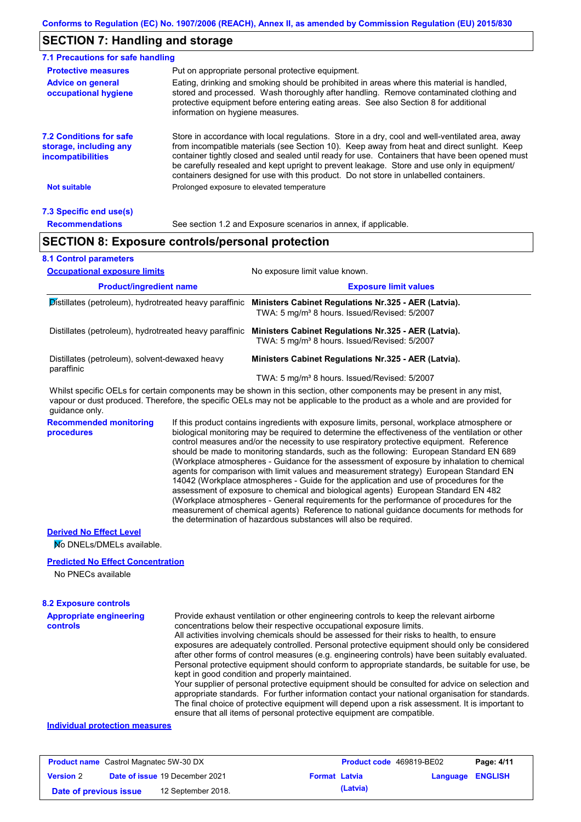### **SECTION 7: Handling and storage**

| 7.1 Precautions for safe handling                                                    |                                                                                                                                                                                                                                                                                                                                                                                                                                                                                          |
|--------------------------------------------------------------------------------------|------------------------------------------------------------------------------------------------------------------------------------------------------------------------------------------------------------------------------------------------------------------------------------------------------------------------------------------------------------------------------------------------------------------------------------------------------------------------------------------|
| <b>Protective measures</b>                                                           | Put on appropriate personal protective equipment.                                                                                                                                                                                                                                                                                                                                                                                                                                        |
| <b>Advice on general</b><br>occupational hygiene                                     | Eating, drinking and smoking should be prohibited in areas where this material is handled,<br>stored and processed. Wash thoroughly after handling. Remove contaminated clothing and<br>protective equipment before entering eating areas. See also Section 8 for additional<br>information on hygiene measures.                                                                                                                                                                         |
| <b>7.2 Conditions for safe</b><br>storage, including any<br><i>incompatibilities</i> | Store in accordance with local regulations. Store in a dry, cool and well-ventilated area, away<br>from incompatible materials (see Section 10). Keep away from heat and direct sunlight. Keep<br>container tightly closed and sealed until ready for use. Containers that have been opened must<br>be carefully resealed and kept upright to prevent leakage. Store and use only in equipment/<br>containers designed for use with this product. Do not store in unlabelled containers. |
| <b>Not suitable</b>                                                                  | Prolonged exposure to elevated temperature                                                                                                                                                                                                                                                                                                                                                                                                                                               |
| 7.3 Specific end use(s)                                                              |                                                                                                                                                                                                                                                                                                                                                                                                                                                                                          |
| <b>Recommendations</b>                                                               | See section 1.2 and Exposure scenarios in annex, if applicable.                                                                                                                                                                                                                                                                                                                                                                                                                          |
|                                                                                      | <b>SECTION 8: Exposure controls/personal protection</b>                                                                                                                                                                                                                                                                                                                                                                                                                                  |
| <b>8.1 Control parameters</b>                                                        |                                                                                                                                                                                                                                                                                                                                                                                                                                                                                          |

### **Product/ingredient name Exposure limit values** Whilst specific OELs for certain components may be shown in this section, other components may be present in any mist, **Occupational exposure limits** No exposure limit value known. Distillates (petroleum), hydrotreated heavy paraffinic **Ministers Cabinet Regulations Nr.325 - AER (Latvia).** TWA: 5 mg/m³ 8 hours. Issued/Revised: 5/2007 Distillates (petroleum), hydrotreated heavy paraffinic **Ministers Cabinet Regulations Nr.325 - AER (Latvia).** TWA: 5 mg/m<sup>3</sup> 8 hours. Issued/Revised: 5/2007 Distillates (petroleum), solvent-dewaxed heavy paraffinic **Ministers Cabinet Regulations Nr.325 - AER (Latvia).** TWA: 5 mg/m³ 8 hours. Issued/Revised: 5/2007

vapour or dust produced. Therefore, the specific OELs may not be applicable to the product as a whole and are provided for guidance only.

**Recommended monitoring procedures**

If this product contains ingredients with exposure limits, personal, workplace atmosphere or biological monitoring may be required to determine the effectiveness of the ventilation or other control measures and/or the necessity to use respiratory protective equipment. Reference should be made to monitoring standards, such as the following: European Standard EN 689 (Workplace atmospheres - Guidance for the assessment of exposure by inhalation to chemical agents for comparison with limit values and measurement strategy) European Standard EN 14042 (Workplace atmospheres - Guide for the application and use of procedures for the assessment of exposure to chemical and biological agents) European Standard EN 482 (Workplace atmospheres - General requirements for the performance of procedures for the measurement of chemical agents) Reference to national guidance documents for methods for the determination of hazardous substances will also be required.

#### **Derived No Effect Level**

No DNELs/DMELs available.

#### **Predicted No Effect Concentration**

No PNECs available

#### **8.2 Exposure controls**

| <b>Appropriate engineering</b><br><b>controls</b> | Provide exhaust ventilation or other engineering controls to keep the relevant airborne<br>concentrations below their respective occupational exposure limits. |
|---------------------------------------------------|----------------------------------------------------------------------------------------------------------------------------------------------------------------|
|                                                   | All activities involving chemicals should be assessed for their risks to health, to ensure                                                                     |
|                                                   |                                                                                                                                                                |
|                                                   | exposures are adequately controlled. Personal protective equipment should only be considered                                                                   |
|                                                   | after other forms of control measures (e.g. engineering controls) have been suitably evaluated.                                                                |
|                                                   | Personal protective equipment should conform to appropriate standards, be suitable for use, be                                                                 |
|                                                   | kept in good condition and properly maintained.                                                                                                                |
|                                                   | Your supplier of personal protective equipment should be consulted for advice on selection and                                                                 |
|                                                   | appropriate standards. For further information contact your national organisation for standards.                                                               |
|                                                   | The final choice of protective equipment will depend upon a risk assessment. It is important to                                                                |
|                                                   | ensure that all items of personal protective equipment are compatible.                                                                                         |

#### **Individual protection measures**

| <b>Product name</b> Castrol Magnatec 5W-30 DX |  | <b>Product code</b> 469819-BE02       |                      | Page: 4/11 |                         |  |
|-----------------------------------------------|--|---------------------------------------|----------------------|------------|-------------------------|--|
| <b>Version 2</b>                              |  | <b>Date of issue 19 December 2021</b> | <b>Format Latvia</b> |            | <b>Language ENGLISH</b> |  |
| Date of previous issue                        |  | 12 September 2018.                    |                      | (Latvia)   |                         |  |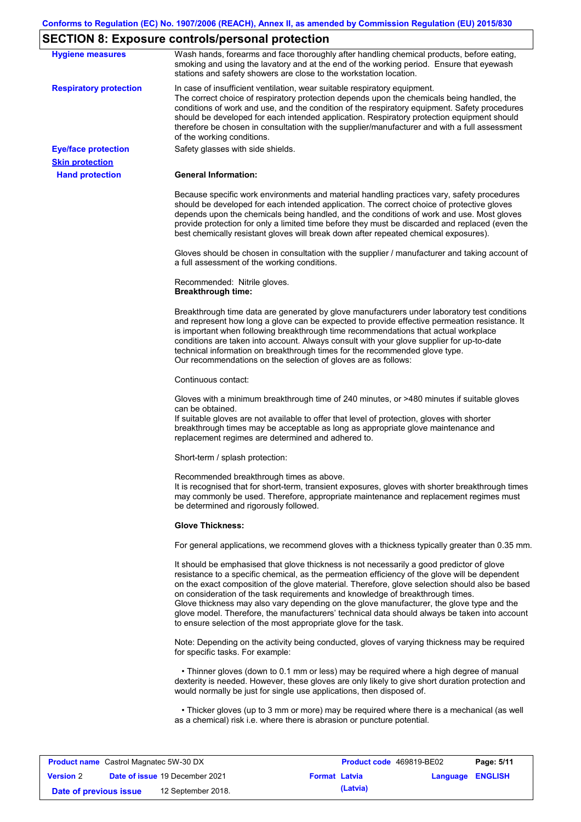# **SECTION 8: Exposure controls/personal protection**

| <b>Hygiene measures</b>       | Wash hands, forearms and face thoroughly after handling chemical products, before eating,<br>smoking and using the lavatory and at the end of the working period. Ensure that eyewash<br>stations and safety showers are close to the workstation location.                                                                                                                                                                                                                                                                                                                                                                                       |
|-------------------------------|---------------------------------------------------------------------------------------------------------------------------------------------------------------------------------------------------------------------------------------------------------------------------------------------------------------------------------------------------------------------------------------------------------------------------------------------------------------------------------------------------------------------------------------------------------------------------------------------------------------------------------------------------|
| <b>Respiratory protection</b> | In case of insufficient ventilation, wear suitable respiratory equipment.<br>The correct choice of respiratory protection depends upon the chemicals being handled, the<br>conditions of work and use, and the condition of the respiratory equipment. Safety procedures<br>should be developed for each intended application. Respiratory protection equipment should<br>therefore be chosen in consultation with the supplier/manufacturer and with a full assessment<br>of the working conditions.                                                                                                                                             |
| <b>Eye/face protection</b>    | Safety glasses with side shields.                                                                                                                                                                                                                                                                                                                                                                                                                                                                                                                                                                                                                 |
| <b>Skin protection</b>        |                                                                                                                                                                                                                                                                                                                                                                                                                                                                                                                                                                                                                                                   |
| <b>Hand protection</b>        | <b>General Information:</b>                                                                                                                                                                                                                                                                                                                                                                                                                                                                                                                                                                                                                       |
|                               | Because specific work environments and material handling practices vary, safety procedures<br>should be developed for each intended application. The correct choice of protective gloves<br>depends upon the chemicals being handled, and the conditions of work and use. Most gloves<br>provide protection for only a limited time before they must be discarded and replaced (even the<br>best chemically resistant gloves will break down after repeated chemical exposures).                                                                                                                                                                  |
|                               | Gloves should be chosen in consultation with the supplier / manufacturer and taking account of<br>a full assessment of the working conditions.                                                                                                                                                                                                                                                                                                                                                                                                                                                                                                    |
|                               | Recommended: Nitrile gloves.<br><b>Breakthrough time:</b>                                                                                                                                                                                                                                                                                                                                                                                                                                                                                                                                                                                         |
|                               | Breakthrough time data are generated by glove manufacturers under laboratory test conditions<br>and represent how long a glove can be expected to provide effective permeation resistance. It<br>is important when following breakthrough time recommendations that actual workplace<br>conditions are taken into account. Always consult with your glove supplier for up-to-date<br>technical information on breakthrough times for the recommended glove type.<br>Our recommendations on the selection of gloves are as follows:                                                                                                                |
|                               | Continuous contact:                                                                                                                                                                                                                                                                                                                                                                                                                                                                                                                                                                                                                               |
|                               | Gloves with a minimum breakthrough time of 240 minutes, or >480 minutes if suitable gloves<br>can be obtained.<br>If suitable gloves are not available to offer that level of protection, gloves with shorter<br>breakthrough times may be acceptable as long as appropriate glove maintenance and<br>replacement regimes are determined and adhered to.                                                                                                                                                                                                                                                                                          |
|                               | Short-term / splash protection:                                                                                                                                                                                                                                                                                                                                                                                                                                                                                                                                                                                                                   |
|                               | Recommended breakthrough times as above.<br>It is recognised that for short-term, transient exposures, gloves with shorter breakthrough times<br>may commonly be used. Therefore, appropriate maintenance and replacement regimes must<br>be determined and rigorously followed.                                                                                                                                                                                                                                                                                                                                                                  |
|                               | <b>Glove Thickness:</b>                                                                                                                                                                                                                                                                                                                                                                                                                                                                                                                                                                                                                           |
|                               | For general applications, we recommend gloves with a thickness typically greater than 0.35 mm.                                                                                                                                                                                                                                                                                                                                                                                                                                                                                                                                                    |
|                               | It should be emphasised that glove thickness is not necessarily a good predictor of glove<br>resistance to a specific chemical, as the permeation efficiency of the glove will be dependent<br>on the exact composition of the glove material. Therefore, glove selection should also be based<br>on consideration of the task requirements and knowledge of breakthrough times.<br>Glove thickness may also vary depending on the glove manufacturer, the glove type and the<br>glove model. Therefore, the manufacturers' technical data should always be taken into account<br>to ensure selection of the most appropriate glove for the task. |
|                               | Note: Depending on the activity being conducted, gloves of varying thickness may be required<br>for specific tasks. For example:                                                                                                                                                                                                                                                                                                                                                                                                                                                                                                                  |
|                               | • Thinner gloves (down to 0.1 mm or less) may be required where a high degree of manual<br>dexterity is needed. However, these gloves are only likely to give short duration protection and<br>would normally be just for single use applications, then disposed of.                                                                                                                                                                                                                                                                                                                                                                              |
|                               | • Thicker gloves (up to 3 mm or more) may be required where there is a mechanical (as well<br>as a chemical) risk i.e. where there is abrasion or puncture potential.                                                                                                                                                                                                                                                                                                                                                                                                                                                                             |
|                               |                                                                                                                                                                                                                                                                                                                                                                                                                                                                                                                                                                                                                                                   |

| <b>Product name</b> Castrol Magnatec 5W-30 DX |                                       |                      | <b>Product code</b> 469819-BE02 |                  | Page: 5/11 |
|-----------------------------------------------|---------------------------------------|----------------------|---------------------------------|------------------|------------|
| <b>Version 2</b>                              | <b>Date of issue 19 December 2021</b> | <b>Format Latvia</b> |                                 | Language ENGLISH |            |
| Date of previous issue                        | 12 September 2018.                    |                      | (Latvia)                        |                  |            |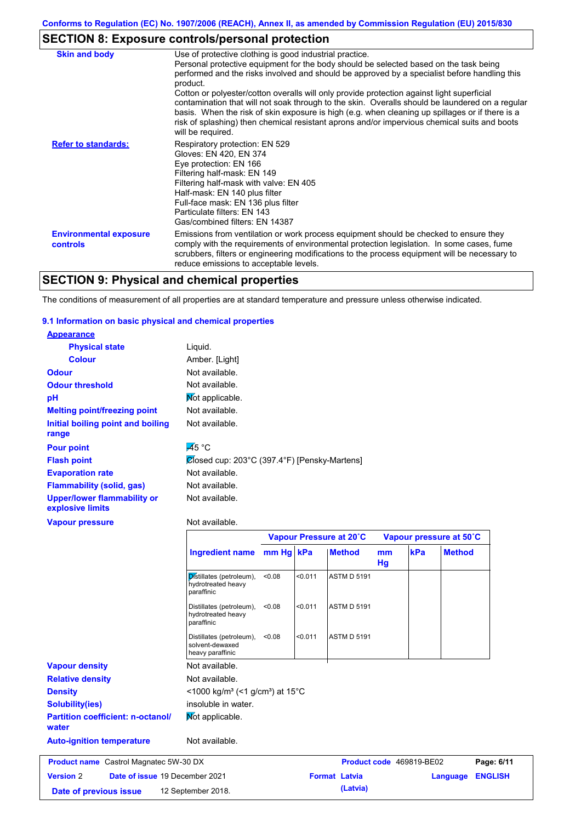## **SECTION 8: Exposure controls/personal protection**

| <b>Skin and body</b>                             | Use of protective clothing is good industrial practice.                                                                                                                                                                                                                                                                                                                                                               |
|--------------------------------------------------|-----------------------------------------------------------------------------------------------------------------------------------------------------------------------------------------------------------------------------------------------------------------------------------------------------------------------------------------------------------------------------------------------------------------------|
|                                                  | Personal protective equipment for the body should be selected based on the task being<br>performed and the risks involved and should be approved by a specialist before handling this<br>product.                                                                                                                                                                                                                     |
|                                                  | Cotton or polyester/cotton overalls will only provide protection against light superficial<br>contamination that will not soak through to the skin. Overalls should be laundered on a regular<br>basis. When the risk of skin exposure is high (e.g. when cleaning up spillages or if there is a<br>risk of splashing) then chemical resistant aprons and/or impervious chemical suits and boots<br>will be required. |
| <b>Refer to standards:</b>                       | Respiratory protection: EN 529<br>Gloves: EN 420, EN 374<br>Eye protection: EN 166<br>Filtering half-mask: EN 149<br>Filtering half-mask with valve: EN 405<br>Half-mask: EN 140 plus filter<br>Full-face mask: EN 136 plus filter<br>Particulate filters: EN 143<br>Gas/combined filters: EN 14387                                                                                                                   |
| <b>Environmental exposure</b><br><b>controls</b> | Emissions from ventilation or work process equipment should be checked to ensure they<br>comply with the requirements of environmental protection legislation. In some cases, fume<br>scrubbers, filters or engineering modifications to the process equipment will be necessary to<br>reduce emissions to acceptable levels.                                                                                         |

## **SECTION 9: Physical and chemical properties**

The conditions of measurement of all properties are at standard temperature and pressure unless otherwise indicated.

#### **9.1 Information on basic physical and chemical properties**

| <b>Appearance</b>                                      |                                              |
|--------------------------------------------------------|----------------------------------------------|
| <b>Physical state</b>                                  | Liquid.                                      |
| <b>Colour</b>                                          | Amber. [Light]                               |
| <b>Odour</b>                                           | Not available.                               |
| <b>Odour threshold</b>                                 | Not available.                               |
| рH                                                     | Mot applicable.                              |
| <b>Melting point/freezing point</b>                    | Not available.                               |
| Initial boiling point and boiling<br>range             | Not available.                               |
| <b>Pour point</b>                                      | $\overline{45}$ °C                           |
| <b>Flash point</b>                                     | Closed cup: 203°C (397.4°F) [Pensky-Martens] |
| <b>Evaporation rate</b>                                | Not available.                               |
| <b>Flammability (solid, gas)</b>                       | Not available.                               |
| <b>Upper/lower flammability or</b><br>explosive limits | Not available.                               |
| <b>Vapour pressure</b>                                 | Not available.                               |
|                                                        | Vapour Pressure at 20°C                      |

|                                                    |                                                                         | Vapour Pressure at 20°C |         |                      | Vapour pressure at 50°C |                          |               |                |  |
|----------------------------------------------------|-------------------------------------------------------------------------|-------------------------|---------|----------------------|-------------------------|--------------------------|---------------|----------------|--|
|                                                    | Ingredient name mm Hg   kPa                                             |                         |         | <b>Method</b>        | mm<br>Hg                | kPa                      | <b>Method</b> |                |  |
|                                                    | Distillates (petroleum),<br>hydrotreated heavy<br>paraffinic            | < 0.08                  | < 0.011 | <b>ASTM D 5191</b>   |                         |                          |               |                |  |
|                                                    | Distillates (petroleum),<br>hydrotreated heavy<br>paraffinic            | < 0.08                  | < 0.011 | <b>ASTM D 5191</b>   |                         |                          |               |                |  |
|                                                    | Distillates (petroleum),<br>solvent-dewaxed<br>heavy paraffinic         | < 0.08                  | < 0.011 | <b>ASTM D 5191</b>   |                         |                          |               |                |  |
| <b>Vapour density</b>                              | Not available.                                                          |                         |         |                      |                         |                          |               |                |  |
| <b>Relative density</b>                            | Not available.                                                          |                         |         |                      |                         |                          |               |                |  |
| <b>Density</b>                                     | $<$ 1000 kg/m <sup>3</sup> (<1 g/cm <sup>3</sup> ) at 15 <sup>°</sup> C |                         |         |                      |                         |                          |               |                |  |
| <b>Solubility(ies)</b>                             | insoluble in water.                                                     |                         |         |                      |                         |                          |               |                |  |
| <b>Partition coefficient: n-octanol/</b><br>water  | Mot applicable.                                                         |                         |         |                      |                         |                          |               |                |  |
| <b>Auto-ignition temperature</b>                   | Not available.                                                          |                         |         |                      |                         |                          |               |                |  |
| <b>Product name</b> Castrol Magnatec 5W-30 DX      |                                                                         |                         |         |                      |                         | Product code 469819-BE02 |               | Page: 6/11     |  |
| <b>Version 2</b><br>Date of issue 19 December 2021 |                                                                         |                         |         | <b>Format Latvia</b> |                         |                          | Language      | <b>ENGLISH</b> |  |
| Date of previous issue                             | 12 September 2018.                                                      |                         |         | (Latvia)             |                         |                          |               |                |  |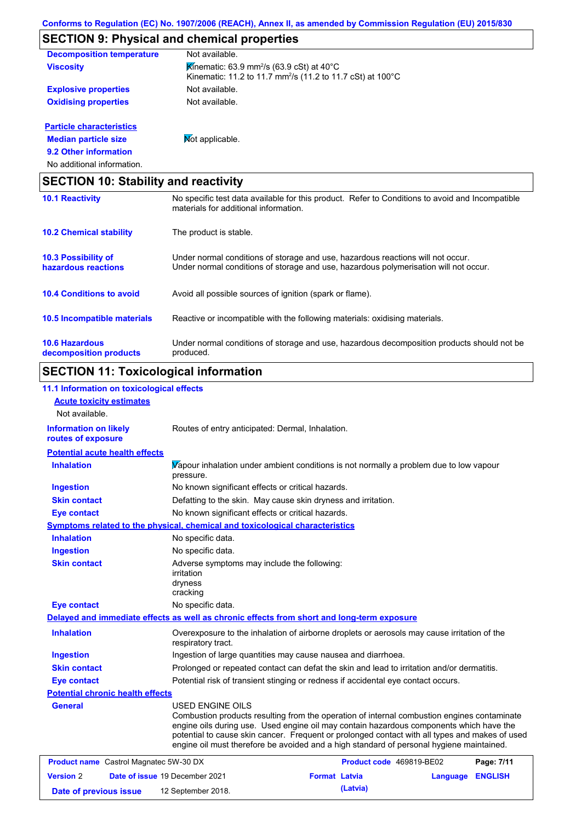## **SECTION 9: Physical and chemical properties**

| <b>Decomposition temperature</b> | Not available.                                                                                                                             |
|----------------------------------|--------------------------------------------------------------------------------------------------------------------------------------------|
| <b>Viscosity</b>                 | Kinematic: 63.9 mm <sup>2</sup> /s (63.9 cSt) at 40 $^{\circ}$ C<br>Kinematic: 11.2 to 11.7 mm <sup>2</sup> /s (11.2 to 11.7 cSt) at 100°C |
| <b>Explosive properties</b>      | Not available.                                                                                                                             |
| <b>Oxidising properties</b>      | Not available.                                                                                                                             |
| <b>Particle characteristics</b>  |                                                                                                                                            |
| <b>Median particle size</b>      | <b>Not applicable.</b>                                                                                                                     |

**9.2 Other information**

No additional information.

| <b>SECTION 10: Stability and reactivity</b>       |                                                                                                                                                                         |  |  |  |
|---------------------------------------------------|-------------------------------------------------------------------------------------------------------------------------------------------------------------------------|--|--|--|
| <b>10.1 Reactivity</b>                            | No specific test data available for this product. Refer to Conditions to avoid and Incompatible<br>materials for additional information.                                |  |  |  |
| <b>10.2 Chemical stability</b>                    | The product is stable.                                                                                                                                                  |  |  |  |
| <b>10.3 Possibility of</b><br>hazardous reactions | Under normal conditions of storage and use, hazardous reactions will not occur.<br>Under normal conditions of storage and use, hazardous polymerisation will not occur. |  |  |  |
| <b>10.4 Conditions to avoid</b>                   | Avoid all possible sources of ignition (spark or flame).                                                                                                                |  |  |  |
| 10.5 Incompatible materials                       | Reactive or incompatible with the following materials: oxidising materials.                                                                                             |  |  |  |
| <b>10.6 Hazardous</b><br>decomposition products   | Under normal conditions of storage and use, hazardous decomposition products should not be<br>produced.                                                                 |  |  |  |

# **SECTION 11: Toxicological information**

| 11.1 Information on toxicological effects          |                                                                                                                                                                                                                                                                                                                                                                                                                 |                          |          |                |
|----------------------------------------------------|-----------------------------------------------------------------------------------------------------------------------------------------------------------------------------------------------------------------------------------------------------------------------------------------------------------------------------------------------------------------------------------------------------------------|--------------------------|----------|----------------|
| <b>Acute toxicity estimates</b>                    |                                                                                                                                                                                                                                                                                                                                                                                                                 |                          |          |                |
| Not available.                                     |                                                                                                                                                                                                                                                                                                                                                                                                                 |                          |          |                |
| <b>Information on likely</b><br>routes of exposure | Routes of entry anticipated: Dermal, Inhalation.                                                                                                                                                                                                                                                                                                                                                                |                          |          |                |
| <b>Potential acute health effects</b>              |                                                                                                                                                                                                                                                                                                                                                                                                                 |                          |          |                |
| <b>Inhalation</b>                                  | Vapour inhalation under ambient conditions is not normally a problem due to low vapour<br>pressure.                                                                                                                                                                                                                                                                                                             |                          |          |                |
| <b>Ingestion</b>                                   | No known significant effects or critical hazards.                                                                                                                                                                                                                                                                                                                                                               |                          |          |                |
| <b>Skin contact</b>                                | Defatting to the skin. May cause skin dryness and irritation.                                                                                                                                                                                                                                                                                                                                                   |                          |          |                |
| <b>Eye contact</b>                                 | No known significant effects or critical hazards.                                                                                                                                                                                                                                                                                                                                                               |                          |          |                |
|                                                    | <b>Symptoms related to the physical, chemical and toxicological characteristics</b>                                                                                                                                                                                                                                                                                                                             |                          |          |                |
| <b>Inhalation</b>                                  | No specific data.                                                                                                                                                                                                                                                                                                                                                                                               |                          |          |                |
| <b>Ingestion</b>                                   | No specific data.                                                                                                                                                                                                                                                                                                                                                                                               |                          |          |                |
| <b>Skin contact</b>                                | Adverse symptoms may include the following:<br>irritation<br>dryness<br>cracking                                                                                                                                                                                                                                                                                                                                |                          |          |                |
| <b>Eye contact</b>                                 | No specific data.                                                                                                                                                                                                                                                                                                                                                                                               |                          |          |                |
|                                                    | Delayed and immediate effects as well as chronic effects from short and long-term exposure                                                                                                                                                                                                                                                                                                                      |                          |          |                |
| <b>Inhalation</b>                                  | Overexposure to the inhalation of airborne droplets or aerosols may cause irritation of the<br>respiratory tract.                                                                                                                                                                                                                                                                                               |                          |          |                |
| <b>Ingestion</b>                                   | Ingestion of large quantities may cause nausea and diarrhoea.                                                                                                                                                                                                                                                                                                                                                   |                          |          |                |
| <b>Skin contact</b>                                | Prolonged or repeated contact can defat the skin and lead to irritation and/or dermatitis.                                                                                                                                                                                                                                                                                                                      |                          |          |                |
| <b>Eye contact</b>                                 | Potential risk of transient stinging or redness if accidental eye contact occurs.                                                                                                                                                                                                                                                                                                                               |                          |          |                |
| <b>Potential chronic health effects</b>            |                                                                                                                                                                                                                                                                                                                                                                                                                 |                          |          |                |
| General                                            | <b>USED ENGINE OILS</b><br>Combustion products resulting from the operation of internal combustion engines contaminate<br>engine oils during use. Used engine oil may contain hazardous components which have the<br>potential to cause skin cancer. Frequent or prolonged contact with all types and makes of used<br>engine oil must therefore be avoided and a high standard of personal hygiene maintained. |                          |          |                |
| <b>Product name</b> Castrol Magnatec 5W-30 DX      |                                                                                                                                                                                                                                                                                                                                                                                                                 | Product code 469819-BE02 |          | Page: 7/11     |
| <b>Version 2</b>                                   | Date of issue 19 December 2021                                                                                                                                                                                                                                                                                                                                                                                  | <b>Format Latvia</b>     | Language | <b>ENGLISH</b> |
| Date of previous issue                             | 12 September 2018.                                                                                                                                                                                                                                                                                                                                                                                              | (Latvia)                 |          |                |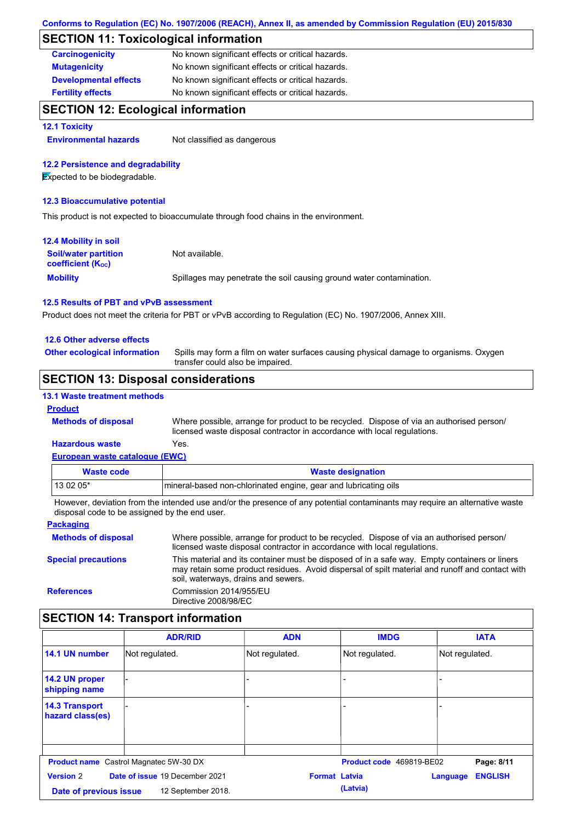## **SECTION 11: Toxicological information**

| <b>Carcinogenicity</b>       | No known significant effects or critical hazards. |
|------------------------------|---------------------------------------------------|
| <b>Mutagenicity</b>          | No known significant effects or critical hazards. |
| <b>Developmental effects</b> | No known significant effects or critical hazards. |
| <b>Fertility effects</b>     | No known significant effects or critical hazards. |

### **SECTION 12: Ecological information**

#### **12.1 Toxicity**

**Environmental hazards** Not classified as dangerous

#### **12.2 Persistence and degradability**

**Expected to be biodegradable.** 

#### **12.3 Bioaccumulative potential**

This product is not expected to bioaccumulate through food chains in the environment.

| <b>12.4 Mobility in soil</b>                            |                                                                      |
|---------------------------------------------------------|----------------------------------------------------------------------|
| <b>Soil/water partition</b><br><b>coefficient (Koc)</b> | Not available.                                                       |
| <b>Mobility</b>                                         | Spillages may penetrate the soil causing ground water contamination. |

#### **12.5 Results of PBT and vPvB assessment**

Product does not meet the criteria for PBT or vPvB according to Regulation (EC) No. 1907/2006, Annex XIII.

#### **12.6 Other adverse effects**

**Other ecological information**

Spills may form a film on water surfaces causing physical damage to organisms. Oxygen transfer could also be impaired.

### **SECTION 13: Disposal considerations**

#### **13.1 Waste treatment methods**

#### **Product**

**Methods of disposal**

Where possible, arrange for product to be recycled. Dispose of via an authorised person/ licensed waste disposal contractor in accordance with local regulations.

#### **European waste catalogue (EWC) Hazardous waste** Yes.

| Waste code | <b>Waste designation</b>                                        |
|------------|-----------------------------------------------------------------|
| 13 02 05*  | mineral-based non-chlorinated engine, gear and lubricating oils |

However, deviation from the intended use and/or the presence of any potential contaminants may require an alternative waste disposal code to be assigned by the end user.

| <b>Packaging</b>           |                                                                                                                                                                                                                                         |
|----------------------------|-----------------------------------------------------------------------------------------------------------------------------------------------------------------------------------------------------------------------------------------|
| <b>Methods of disposal</b> | Where possible, arrange for product to be recycled. Dispose of via an authorised person/<br>licensed waste disposal contractor in accordance with local regulations.                                                                    |
| <b>Special precautions</b> | This material and its container must be disposed of in a safe way. Empty containers or liners<br>may retain some product residues. Avoid dispersal of spilt material and runoff and contact with<br>soil, waterways, drains and sewers. |
| <b>References</b>          | Commission 2014/955/EU<br>Directive 2008/98/EC                                                                                                                                                                                          |

## **SECTION 14: Transport information**

|                                                                            | <b>ADR/RID</b>                                | <b>ADN</b>     | <b>IMDG</b>              | <b>IATA</b>                |
|----------------------------------------------------------------------------|-----------------------------------------------|----------------|--------------------------|----------------------------|
| 14.1 UN number                                                             | Not regulated.                                | Not regulated. | Not regulated.           | Not regulated.             |
| 14.2 UN proper<br>shipping name                                            |                                               |                |                          |                            |
| <b>14.3 Transport</b><br>hazard class(es)                                  |                                               |                |                          |                            |
|                                                                            |                                               |                |                          |                            |
|                                                                            | <b>Product name</b> Castrol Magnatec 5W-30 DX |                | Product code 469819-BE02 | Page: 8/11                 |
| Date of issue 19 December 2021<br><b>Version 2</b><br><b>Format Latvia</b> |                                               |                |                          | <b>ENGLISH</b><br>Language |
| Date of previous issue                                                     | 12 September 2018.                            |                | (Latvia)                 |                            |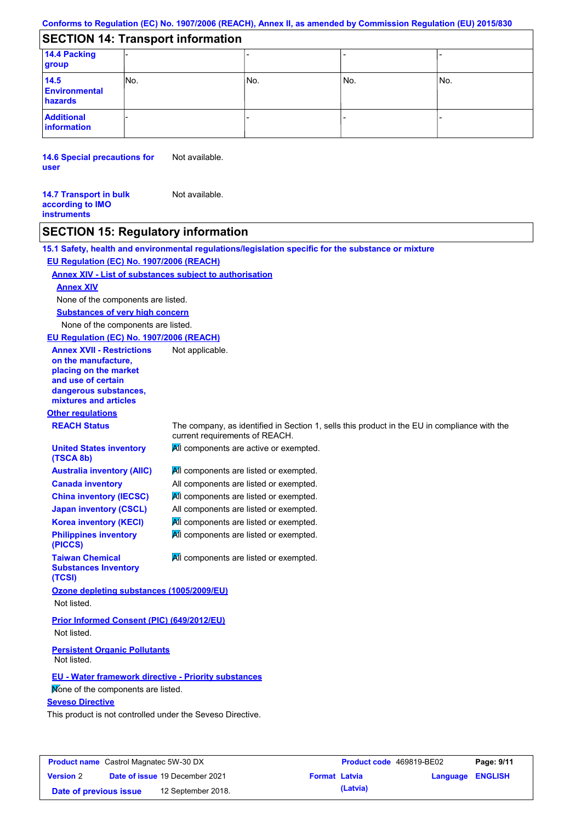## **SECTION 14: Transport information**

| 14.4 Packing<br>group                   |      |      |      |     |
|-----------------------------------------|------|------|------|-----|
| 14.5<br><b>Environmental</b><br>hazards | lNo. | lNo. | lNo. | No. |
| <b>Additional</b><br>information        |      |      |      |     |

**14.6 Special precautions for user** Not available.

Not available.

**14.7 Transport in bulk according to IMO instruments**

## **SECTION 15: Regulatory information**

|                                                                                                                                                          | 15.1 Safety, health and environmental regulations/legislation specific for the substance or mixture                            |
|----------------------------------------------------------------------------------------------------------------------------------------------------------|--------------------------------------------------------------------------------------------------------------------------------|
| EU Regulation (EC) No. 1907/2006 (REACH)                                                                                                                 |                                                                                                                                |
| <b>Annex XIV - List of substances subject to authorisation</b>                                                                                           |                                                                                                                                |
| <b>Annex XIV</b>                                                                                                                                         |                                                                                                                                |
| None of the components are listed.                                                                                                                       |                                                                                                                                |
| <b>Substances of very high concern</b>                                                                                                                   |                                                                                                                                |
| None of the components are listed.                                                                                                                       |                                                                                                                                |
| EU Regulation (EC) No. 1907/2006 (REACH)                                                                                                                 |                                                                                                                                |
| <b>Annex XVII - Restrictions</b><br>on the manufacture,<br>placing on the market<br>and use of certain<br>dangerous substances,<br>mixtures and articles | Not applicable.                                                                                                                |
| <b>Other regulations</b>                                                                                                                                 |                                                                                                                                |
| <b>REACH Status</b>                                                                                                                                      | The company, as identified in Section 1, sells this product in the EU in compliance with the<br>current requirements of REACH. |
| <b>United States inventory</b><br>(TSCA 8b)                                                                                                              | All components are active or exempted.                                                                                         |
| <b>Australia inventory (AIIC)</b>                                                                                                                        | All components are listed or exempted.                                                                                         |
| <b>Canada inventory</b>                                                                                                                                  | All components are listed or exempted.                                                                                         |
| <b>China inventory (IECSC)</b>                                                                                                                           | All components are listed or exempted.                                                                                         |
| <b>Japan inventory (CSCL)</b>                                                                                                                            | All components are listed or exempted.                                                                                         |
| <b>Korea inventory (KECI)</b>                                                                                                                            | All components are listed or exempted.                                                                                         |
| <b>Philippines inventory</b><br>(PICCS)                                                                                                                  | All components are listed or exempted.                                                                                         |
| <b>Taiwan Chemical</b><br><b>Substances Inventory</b><br>(TCSI)                                                                                          | All components are listed or exempted.                                                                                         |
| Ozone depleting substances (1005/2009/EU)<br>Not listed.                                                                                                 |                                                                                                                                |
| <b>Prior Informed Consent (PIC) (649/2012/EU)</b><br>Not listed.                                                                                         |                                                                                                                                |
| <b>Persistent Organic Pollutants</b><br>Not listed.                                                                                                      |                                                                                                                                |
| <b>EU - Water framework directive - Priority substances</b>                                                                                              |                                                                                                                                |
| Mone of the components are listed.                                                                                                                       |                                                                                                                                |
| <b>Seveso Directive</b>                                                                                                                                  |                                                                                                                                |
| This product is not controlled under the Seveso Directive.                                                                                               |                                                                                                                                |
|                                                                                                                                                          |                                                                                                                                |

| <b>Product name</b> Castrol Magnatec 5W-30 DX |  |                                       | <b>Product code</b> 469819-BE02 |          | Page: 9/11       |  |
|-----------------------------------------------|--|---------------------------------------|---------------------------------|----------|------------------|--|
| <b>Version 2</b>                              |  | <b>Date of issue 19 December 2021</b> | <b>Format Latvia</b>            |          | Language ENGLISH |  |
| Date of previous issue                        |  | 12 September 2018.                    |                                 | (Latvia) |                  |  |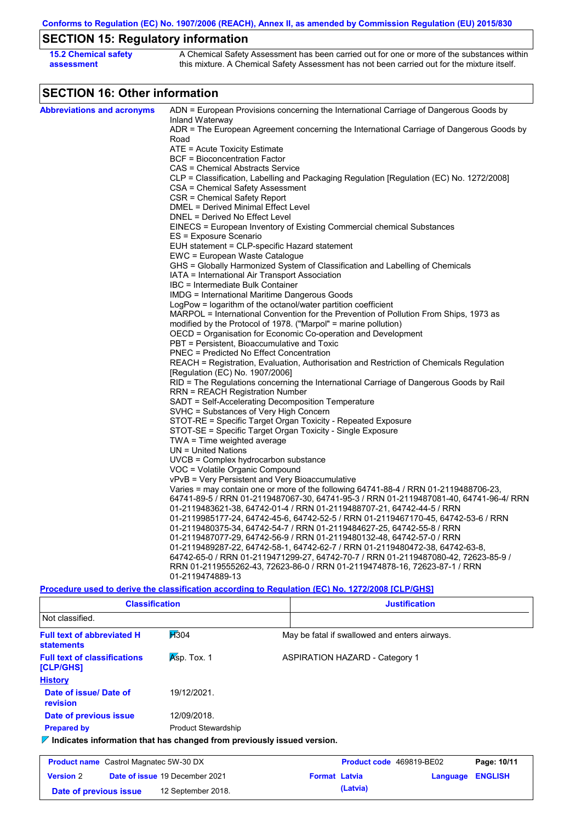## **SECTION 15: Regulatory information**

| 15.2 Chemical safety | A Chemical Safety Assessment has been carried out for one or more of the substances within  |
|----------------------|---------------------------------------------------------------------------------------------|
| assessment           | this mixture. A Chemical Safety Assessment has not been carried out for the mixture itself. |

## **SECTION 16: Other information**

| <b>Abbreviations and acronyms</b> | ADN = European Provisions concerning the International Carriage of Dangerous Goods by                                           |
|-----------------------------------|---------------------------------------------------------------------------------------------------------------------------------|
|                                   | Inland Waterway<br>ADR = The European Agreement concerning the International Carriage of Dangerous Goods by                     |
|                                   | Road                                                                                                                            |
|                                   | $ATE =$ Acute Toxicity Estimate                                                                                                 |
|                                   | <b>BCF</b> = Bioconcentration Factor                                                                                            |
|                                   | CAS = Chemical Abstracts Service                                                                                                |
|                                   | CLP = Classification, Labelling and Packaging Regulation [Regulation (EC) No. 1272/2008]                                        |
|                                   | CSA = Chemical Safety Assessment                                                                                                |
|                                   | CSR = Chemical Safety Report                                                                                                    |
|                                   | DMEL = Derived Minimal Effect Level                                                                                             |
|                                   | DNEL = Derived No Effect Level                                                                                                  |
|                                   | EINECS = European Inventory of Existing Commercial chemical Substances                                                          |
|                                   | ES = Exposure Scenario                                                                                                          |
|                                   | EUH statement = CLP-specific Hazard statement                                                                                   |
|                                   | EWC = European Waste Catalogue                                                                                                  |
|                                   | GHS = Globally Harmonized System of Classification and Labelling of Chemicals<br>IATA = International Air Transport Association |
|                                   | IBC = Intermediate Bulk Container                                                                                               |
|                                   | IMDG = International Maritime Dangerous Goods                                                                                   |
|                                   | LogPow = logarithm of the octanol/water partition coefficient                                                                   |
|                                   | MARPOL = International Convention for the Prevention of Pollution From Ships, 1973 as                                           |
|                                   | modified by the Protocol of 1978. ("Marpol" = marine pollution)                                                                 |
|                                   | OECD = Organisation for Economic Co-operation and Development                                                                   |
|                                   | PBT = Persistent, Bioaccumulative and Toxic                                                                                     |
|                                   | <b>PNEC = Predicted No Effect Concentration</b>                                                                                 |
|                                   | REACH = Registration, Evaluation, Authorisation and Restriction of Chemicals Regulation                                         |
|                                   | [Regulation (EC) No. 1907/2006]                                                                                                 |
|                                   | RID = The Regulations concerning the International Carriage of Dangerous Goods by Rail                                          |
|                                   | RRN = REACH Registration Number                                                                                                 |
|                                   | SADT = Self-Accelerating Decomposition Temperature                                                                              |
|                                   | SVHC = Substances of Very High Concern                                                                                          |
|                                   | STOT-RE = Specific Target Organ Toxicity - Repeated Exposure                                                                    |
|                                   | STOT-SE = Specific Target Organ Toxicity - Single Exposure                                                                      |
|                                   | $TWA = Time$ weighted average<br>$UN = United Nations$                                                                          |
|                                   | UVCB = Complex hydrocarbon substance                                                                                            |
|                                   | VOC = Volatile Organic Compound                                                                                                 |
|                                   | vPvB = Very Persistent and Very Bioaccumulative                                                                                 |
|                                   | Varies = may contain one or more of the following 64741-88-4 / RRN 01-2119488706-23,                                            |
|                                   | 64741-89-5 / RRN 01-2119487067-30, 64741-95-3 / RRN 01-2119487081-40, 64741-96-4/ RRN                                           |
|                                   | 01-2119483621-38, 64742-01-4 / RRN 01-2119488707-21, 64742-44-5 / RRN                                                           |
|                                   | 01-2119985177-24, 64742-45-6, 64742-52-5 / RRN 01-2119467170-45, 64742-53-6 / RRN                                               |
|                                   | 01-2119480375-34, 64742-54-7 / RRN 01-2119484627-25, 64742-55-8 / RRN                                                           |
|                                   | 01-2119487077-29, 64742-56-9 / RRN 01-2119480132-48, 64742-57-0 / RRN                                                           |
|                                   | 01-2119489287-22, 64742-58-1, 64742-62-7 / RRN 01-2119480472-38, 64742-63-8,                                                    |
|                                   | 64742-65-0 / RRN 01-2119471299-27, 64742-70-7 / RRN 01-2119487080-42, 72623-85-9 /                                              |
|                                   | RRN 01-2119555262-43, 72623-86-0 / RRN 01-2119474878-16, 72623-87-1 / RRN                                                       |
|                                   | 01-2119474889-13                                                                                                                |
|                                   | <u>Procedure used to derive the classification according to Regulation (EC) No. 1272/2008 [CLP/GHS]</u>                         |

| <b>Classification</b>                                                           |                                |  | <b>Justification</b>                  |                                               |                |  |  |
|---------------------------------------------------------------------------------|--------------------------------|--|---------------------------------------|-----------------------------------------------|----------------|--|--|
| Not classified.                                                                 |                                |  |                                       |                                               |                |  |  |
| <b>Full text of abbreviated H</b><br><b>statements</b>                          | H304                           |  |                                       | May be fatal if swallowed and enters airways. |                |  |  |
| Asp. Tox. 1<br><b>Full text of classifications</b><br><b>[CLP/GHS]</b>          |                                |  | <b>ASPIRATION HAZARD - Category 1</b> |                                               |                |  |  |
| <b>History</b>                                                                  |                                |  |                                       |                                               |                |  |  |
| Date of issue/Date of<br>revision                                               | 19/12/2021.                    |  |                                       |                                               |                |  |  |
| Date of previous issue                                                          | 12/09/2018.                    |  |                                       |                                               |                |  |  |
| <b>Prepared by</b>                                                              | <b>Product Stewardship</b>     |  |                                       |                                               |                |  |  |
| $\nabla$ Indicates information that has changed from previously issued version. |                                |  |                                       |                                               |                |  |  |
| <b>Product name</b> Castrol Magnatec 5W-30 DX                                   |                                |  | <b>Product code</b> 469819-BE02       |                                               | Page: 10/11    |  |  |
| <b>Version 2</b>                                                                | Date of issue 19 December 2021 |  | <b>Format Latvia</b>                  | Language                                      | <b>ENGLISH</b> |  |  |

**Date of previous issue (Latvia)** 12 September 2018.